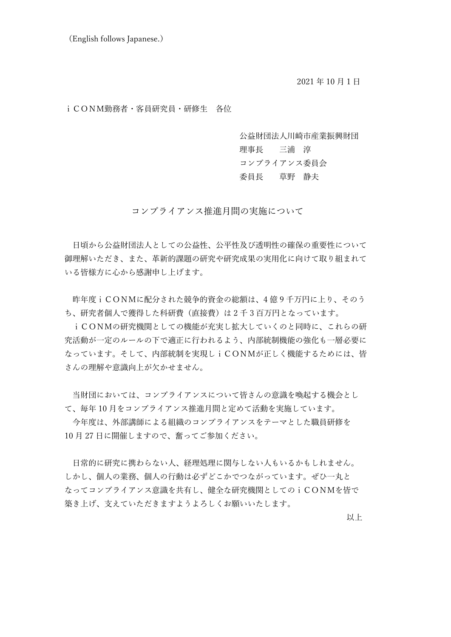2021 年 10 月1日

## iCONM勤務者・客員研究員・研修生 各位

公益財団法人川崎市産業振興財団 理事長 三浦 淳 コンプライアンス委員会 委員長 草野 静夫

コンプライアンス推進月間の実施について

日頃から公益財団法人としての公益性、公平性及び透明性の確保の重要性について 御理解いただき、また、革新的課題の研究や研究成果の実用化に向けて取り組まれて いる皆様方に心から感謝申し上げます。

昨年度iCONMに配分された競争的資金の総額は、4 億 9 千万円に上り、そのう ち、研究者個人で獲得した科研費(直接費)は 2 千 3 百万円となっています。

iCONMの研究機関としての機能が充実し拡大していくのと同時に、これらの研 究活動が一定のルールの下で適正に行われるよう、内部統制機能の強化も一層必要に なっています。そして、内部統制を実現しiCONMが正しく機能するためには、皆 さんの理解や意識向上が欠かせません。

当財団においては、コンプライアンスについて皆さんの意識を喚起する機会とし て、毎年 10 月をコンプライアンス推進月間と定めて活動を実施しています。

今年度は、外部講師による組織のコンプライアンスをテーマとした職員研修を 10 月 27 日に開催しますので、奮ってご参加ください。

日常的に研究に携わらない人、経理処理に関与しない人もいるかもしれません。 しかし、個人の業務、個人の行動は必ずどこかでつながっています。ぜひ一丸と なってコンプライアンス意識を共有し、健全な研究機関としてのiCONMを皆で 築き上げ、支えていただきますようよろしくお願いいたします。

以上